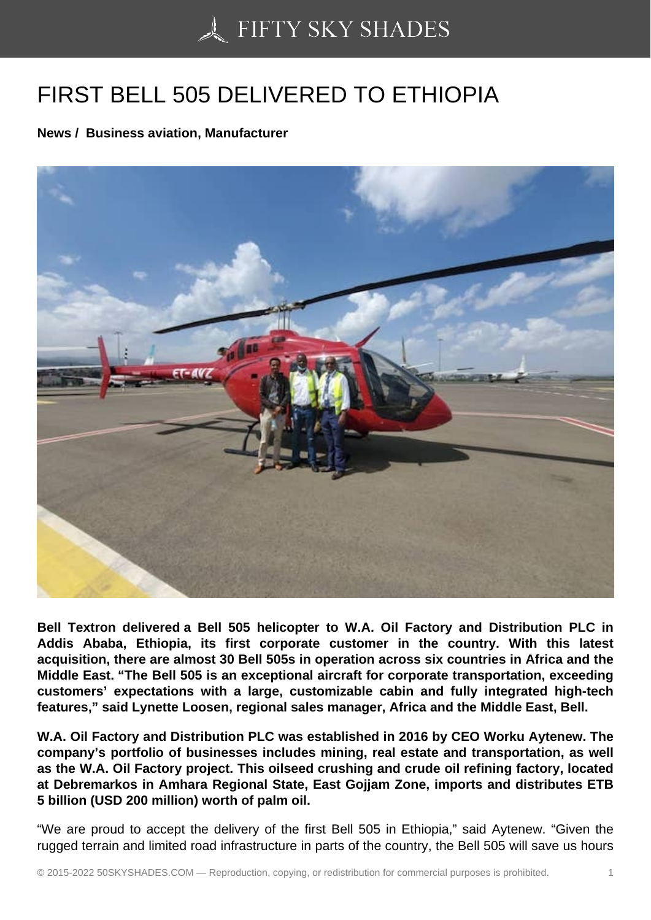## [FIRST BELL 505 DELI](https://50skyshades.com)VERED TO ETHIOPIA

News / Business aviation, Manufacturer

Bell Textron delivered a Bell 505 helicopter to W.A. Oil Factory and Distribution PLC in Addis Ababa, Ethiopia, its first corporate customer in the country. With this latest acquisition, there are almost 30 Bell 505s in operation across six countries in Africa and the Middle East. "The Bell 505 is an exceptional aircraft for corporate transportation, exceeding customers' expectations with a large, customizable cabin and fully integrated high-tech features," said Lynette Loosen, regional sales manager, Africa and the Middle East, Bell.

W.A. Oil Factory and Distribution PLC was established in 2016 by CEO Worku Aytenew. The company's portfolio of businesses includes mining, real estate and transportation, as well as the W.A. Oil Factory project. This oilseed crushing and crude oil refining factory, located at Debremarkos in Amhara Regional State, East Gojjam Zone, imports and distributes ETB 5 billion (USD 200 million) worth of palm oil.

"We are proud to accept the delivery of the first Bell 505 in Ethiopia," said Aytenew. "Given the rugged terrain and limited road infrastructure in parts of the country, the Bell 505 will save us hours